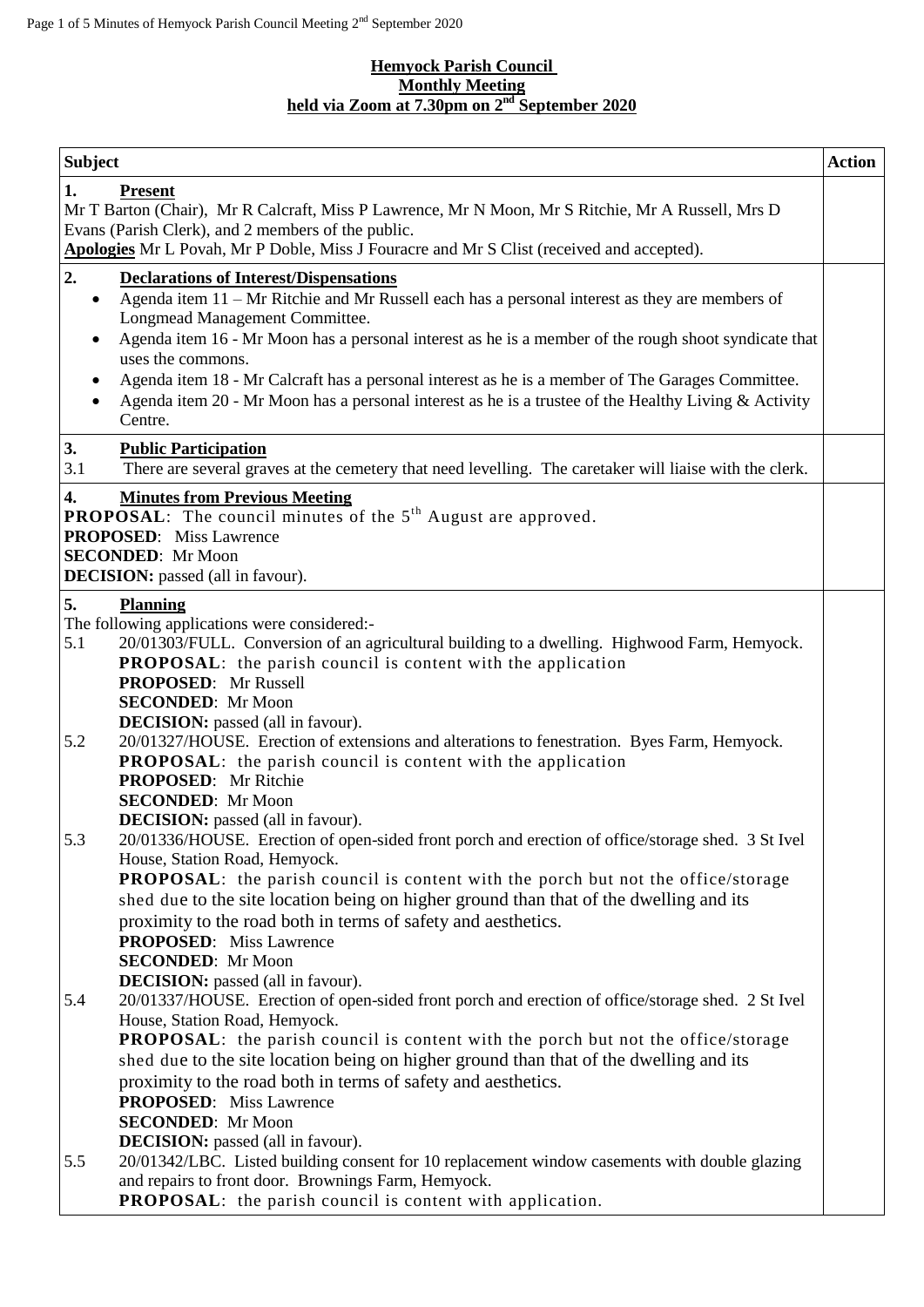#### **Hemyock Parish Council Monthly Meeting held via Zoom at 7.30pm on 2 nd September 2020**

| <b>Subject</b>                                                                                                                                                                                                                                                                                                                                                                                                                                                                                                                                                                                                                                                                                                                                                                                                                                                                                                                                                                                                           | <b>Action</b> |
|--------------------------------------------------------------------------------------------------------------------------------------------------------------------------------------------------------------------------------------------------------------------------------------------------------------------------------------------------------------------------------------------------------------------------------------------------------------------------------------------------------------------------------------------------------------------------------------------------------------------------------------------------------------------------------------------------------------------------------------------------------------------------------------------------------------------------------------------------------------------------------------------------------------------------------------------------------------------------------------------------------------------------|---------------|
| 1.<br><b>Present</b><br>Mr T Barton (Chair), Mr R Calcraft, Miss P Lawrence, Mr N Moon, Mr S Ritchie, Mr A Russell, Mrs D<br>Evans (Parish Clerk), and 2 members of the public.<br>Apologies Mr L Povah, Mr P Doble, Miss J Fouracre and Mr S Clist (received and accepted).                                                                                                                                                                                                                                                                                                                                                                                                                                                                                                                                                                                                                                                                                                                                             |               |
| 2.<br><b>Declarations of Interest/Dispensations</b><br>Agenda item 11 - Mr Ritchie and Mr Russell each has a personal interest as they are members of<br>$\bullet$<br>Longmead Management Committee.<br>Agenda item 16 - Mr Moon has a personal interest as he is a member of the rough shoot syndicate that<br>uses the commons.<br>Agenda item 18 - Mr Calcraft has a personal interest as he is a member of The Garages Committee.<br>٠<br>Agenda item 20 - Mr Moon has a personal interest as he is a trustee of the Healthy Living & Activity<br>Centre.                                                                                                                                                                                                                                                                                                                                                                                                                                                            |               |
| 3.<br><b>Public Participation</b><br>3.1<br>There are several graves at the cemetery that need levelling. The caretaker will liaise with the clerk.                                                                                                                                                                                                                                                                                                                                                                                                                                                                                                                                                                                                                                                                                                                                                                                                                                                                      |               |
| 4.<br><b>Minutes from Previous Meeting</b><br><b>PROPOSAL:</b> The council minutes of the 5 <sup>th</sup> August are approved.<br><b>PROPOSED:</b> Miss Lawrence<br><b>SECONDED:</b> Mr Moon<br><b>DECISION:</b> passed (all in favour).                                                                                                                                                                                                                                                                                                                                                                                                                                                                                                                                                                                                                                                                                                                                                                                 |               |
| 5.<br><b>Planning</b><br>The following applications were considered:-<br>20/01303/FULL. Conversion of an agricultural building to a dwelling. Highwood Farm, Hemyock.<br>5.1<br><b>PROPOSAL:</b> the parish council is content with the application<br><b>PROPOSED:</b> Mr Russell<br><b>SECONDED:</b> Mr Moon<br><b>DECISION:</b> passed (all in favour).                                                                                                                                                                                                                                                                                                                                                                                                                                                                                                                                                                                                                                                               |               |
| 20/01327/HOUSE. Erection of extensions and alterations to fenestration. Byes Farm, Hemyock.<br>5.2<br><b>PROPOSAL:</b> the parish council is content with the application<br><b>PROPOSED:</b> Mr Ritchie<br><b>SECONDED:</b> Mr Moon<br><b>DECISION:</b> passed (all in favour).                                                                                                                                                                                                                                                                                                                                                                                                                                                                                                                                                                                                                                                                                                                                         |               |
| 20/01336/HOUSE. Erection of open-sided front porch and erection of office/storage shed. 3 St Ivel<br>5.3<br>House, Station Road, Hemyock.<br><b>PROPOSAL:</b> the parish council is content with the porch but not the office/storage<br>shed due to the site location being on higher ground than that of the dwelling and its<br>proximity to the road both in terms of safety and aesthetics.<br><b>PROPOSED:</b> Miss Lawrence<br><b>SECONDED:</b> Mr Moon<br><b>DECISION:</b> passed (all in favour).<br>5.4<br>20/01337/HOUSE. Erection of open-sided front porch and erection of office/storage shed. 2 St Ivel<br>House, Station Road, Hemyock.<br><b>PROPOSAL:</b> the parish council is content with the porch but not the office/storage<br>shed due to the site location being on higher ground than that of the dwelling and its<br>proximity to the road both in terms of safety and aesthetics.<br><b>PROPOSED:</b> Miss Lawrence<br><b>SECONDED:</b> Mr Moon<br><b>DECISION:</b> passed (all in favour). |               |
| 20/01342/LBC. Listed building consent for 10 replacement window casements with double glazing<br>5.5<br>and repairs to front door. Brownings Farm, Hemyock.<br><b>PROPOSAL:</b> the parish council is content with application.                                                                                                                                                                                                                                                                                                                                                                                                                                                                                                                                                                                                                                                                                                                                                                                          |               |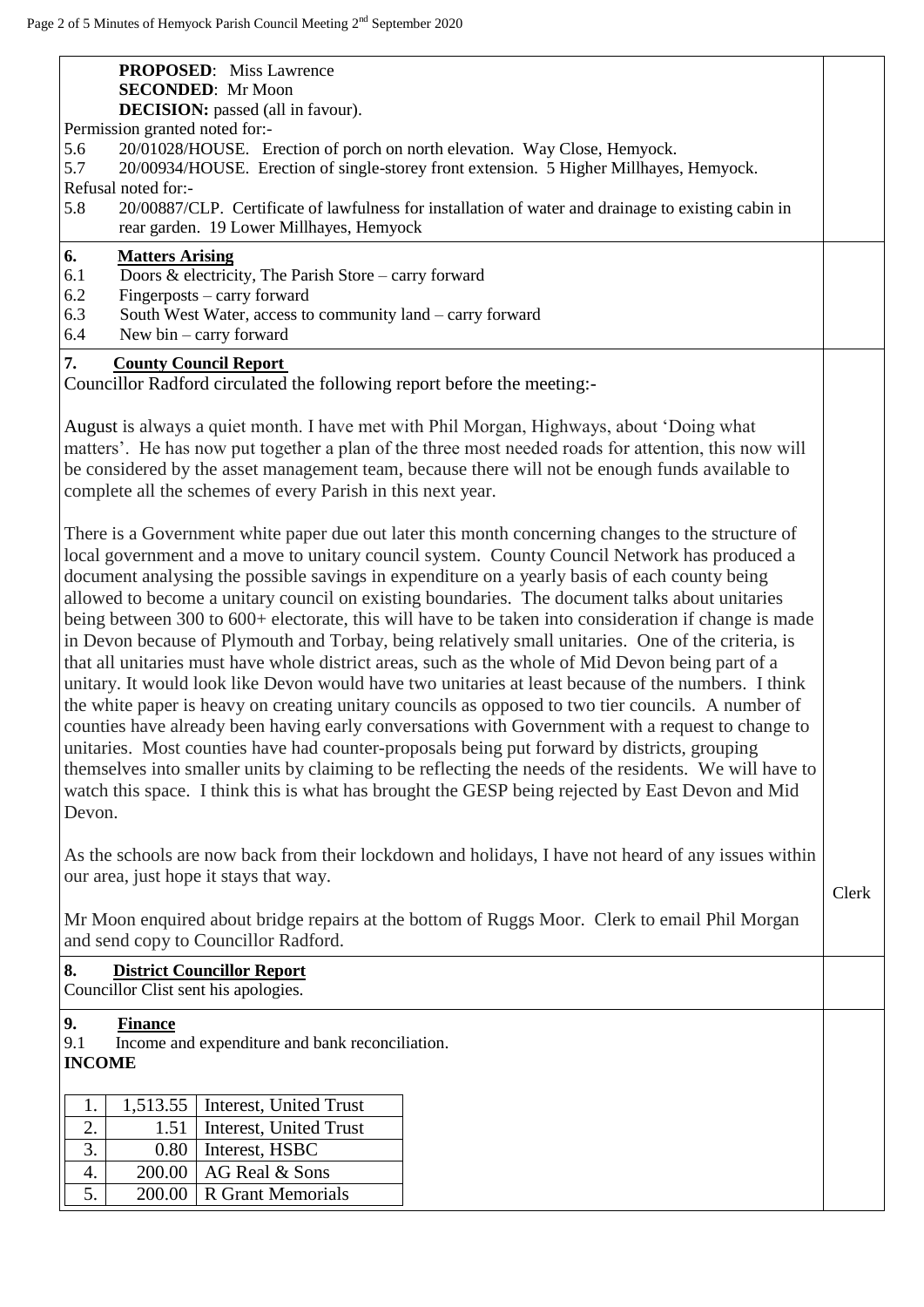| <b>PROPOSED:</b> Miss Lawrence<br><b>SECONDED:</b> Mr Moon<br><b>DECISION:</b> passed (all in favour).<br>Permission granted noted for:-<br>5.6<br>20/01028/HOUSE. Erection of porch on north elevation. Way Close, Hemyock.<br>5.7<br>20/00934/HOUSE. Erection of single-storey front extension. 5 Higher Millhayes, Hemyock.<br>Refusal noted for:-<br>5.8<br>20/00887/CLP. Certificate of lawfulness for installation of water and drainage to existing cabin in<br>rear garden. 19 Lower Millhayes, Hemyock<br>6.<br><b>Matters Arising</b><br>6.1<br>Doors & electricity, The Parish Store – carry forward<br>6.2<br>Fingerposts – carry forward<br>6.3<br>South West Water, access to community land - carry forward                                                                                                                                                                                                                                                                                                                                                                                                                                                                                                                                                                                                                                                                                                                                                                                                                                                                                                                                                                                                                  |       |
|---------------------------------------------------------------------------------------------------------------------------------------------------------------------------------------------------------------------------------------------------------------------------------------------------------------------------------------------------------------------------------------------------------------------------------------------------------------------------------------------------------------------------------------------------------------------------------------------------------------------------------------------------------------------------------------------------------------------------------------------------------------------------------------------------------------------------------------------------------------------------------------------------------------------------------------------------------------------------------------------------------------------------------------------------------------------------------------------------------------------------------------------------------------------------------------------------------------------------------------------------------------------------------------------------------------------------------------------------------------------------------------------------------------------------------------------------------------------------------------------------------------------------------------------------------------------------------------------------------------------------------------------------------------------------------------------------------------------------------------------|-------|
| 6.4<br>New bin $-$ carry forward                                                                                                                                                                                                                                                                                                                                                                                                                                                                                                                                                                                                                                                                                                                                                                                                                                                                                                                                                                                                                                                                                                                                                                                                                                                                                                                                                                                                                                                                                                                                                                                                                                                                                                            |       |
| 7.<br><b>County Council Report</b><br>Councillor Radford circulated the following report before the meeting:-<br>August is always a quiet month. I have met with Phil Morgan, Highways, about 'Doing what<br>matters'. He has now put together a plan of the three most needed roads for attention, this now will<br>be considered by the asset management team, because there will not be enough funds available to<br>complete all the schemes of every Parish in this next year.<br>There is a Government white paper due out later this month concerning changes to the structure of<br>local government and a move to unitary council system. County Council Network has produced a<br>document analysing the possible savings in expenditure on a yearly basis of each county being<br>allowed to become a unitary council on existing boundaries. The document talks about unitaries<br>being between 300 to 600+ electorate, this will have to be taken into consideration if change is made<br>in Devon because of Plymouth and Torbay, being relatively small unitaries. One of the criteria, is<br>that all unitaries must have whole district areas, such as the whole of Mid Devon being part of a<br>unitary. It would look like Devon would have two unitaries at least because of the numbers. I think<br>the white paper is heavy on creating unitary councils as opposed to two tier councils. A number of<br>counties have already been having early conversations with Government with a request to change to<br>unitaries. Most counties have had counter-proposals being put forward by districts, grouping<br>themselves into smaller units by claiming to be reflecting the needs of the residents. We will have to |       |
| watch this space. I think this is what has brought the GESP being rejected by East Devon and Mid<br>Devon.                                                                                                                                                                                                                                                                                                                                                                                                                                                                                                                                                                                                                                                                                                                                                                                                                                                                                                                                                                                                                                                                                                                                                                                                                                                                                                                                                                                                                                                                                                                                                                                                                                  |       |
| As the schools are now back from their lockdown and holidays, I have not heard of any issues within<br>our area, just hope it stays that way.<br>Mr Moon enquired about bridge repairs at the bottom of Ruggs Moor. Clerk to email Phil Morgan<br>and send copy to Councillor Radford.<br>8.<br><b>District Councillor Report</b><br>Councillor Clist sent his apologies.                                                                                                                                                                                                                                                                                                                                                                                                                                                                                                                                                                                                                                                                                                                                                                                                                                                                                                                                                                                                                                                                                                                                                                                                                                                                                                                                                                   | Clerk |
| 9.<br><b>Finance</b>                                                                                                                                                                                                                                                                                                                                                                                                                                                                                                                                                                                                                                                                                                                                                                                                                                                                                                                                                                                                                                                                                                                                                                                                                                                                                                                                                                                                                                                                                                                                                                                                                                                                                                                        |       |
| 9.1<br>Income and expenditure and bank reconciliation.                                                                                                                                                                                                                                                                                                                                                                                                                                                                                                                                                                                                                                                                                                                                                                                                                                                                                                                                                                                                                                                                                                                                                                                                                                                                                                                                                                                                                                                                                                                                                                                                                                                                                      |       |
| <b>INCOME</b>                                                                                                                                                                                                                                                                                                                                                                                                                                                                                                                                                                                                                                                                                                                                                                                                                                                                                                                                                                                                                                                                                                                                                                                                                                                                                                                                                                                                                                                                                                                                                                                                                                                                                                                               |       |
| 1,513.55<br>Interest, United Trust<br>1.<br>2.<br>1.51<br>Interest, United Trust<br>3.<br>Interest, HSBC<br>0.80<br>AG Real & Sons<br>200.00<br>4.                                                                                                                                                                                                                                                                                                                                                                                                                                                                                                                                                                                                                                                                                                                                                                                                                                                                                                                                                                                                                                                                                                                                                                                                                                                                                                                                                                                                                                                                                                                                                                                          |       |
| 5.<br><b>R</b> Grant Memorials<br>200.00                                                                                                                                                                                                                                                                                                                                                                                                                                                                                                                                                                                                                                                                                                                                                                                                                                                                                                                                                                                                                                                                                                                                                                                                                                                                                                                                                                                                                                                                                                                                                                                                                                                                                                    |       |
|                                                                                                                                                                                                                                                                                                                                                                                                                                                                                                                                                                                                                                                                                                                                                                                                                                                                                                                                                                                                                                                                                                                                                                                                                                                                                                                                                                                                                                                                                                                                                                                                                                                                                                                                             |       |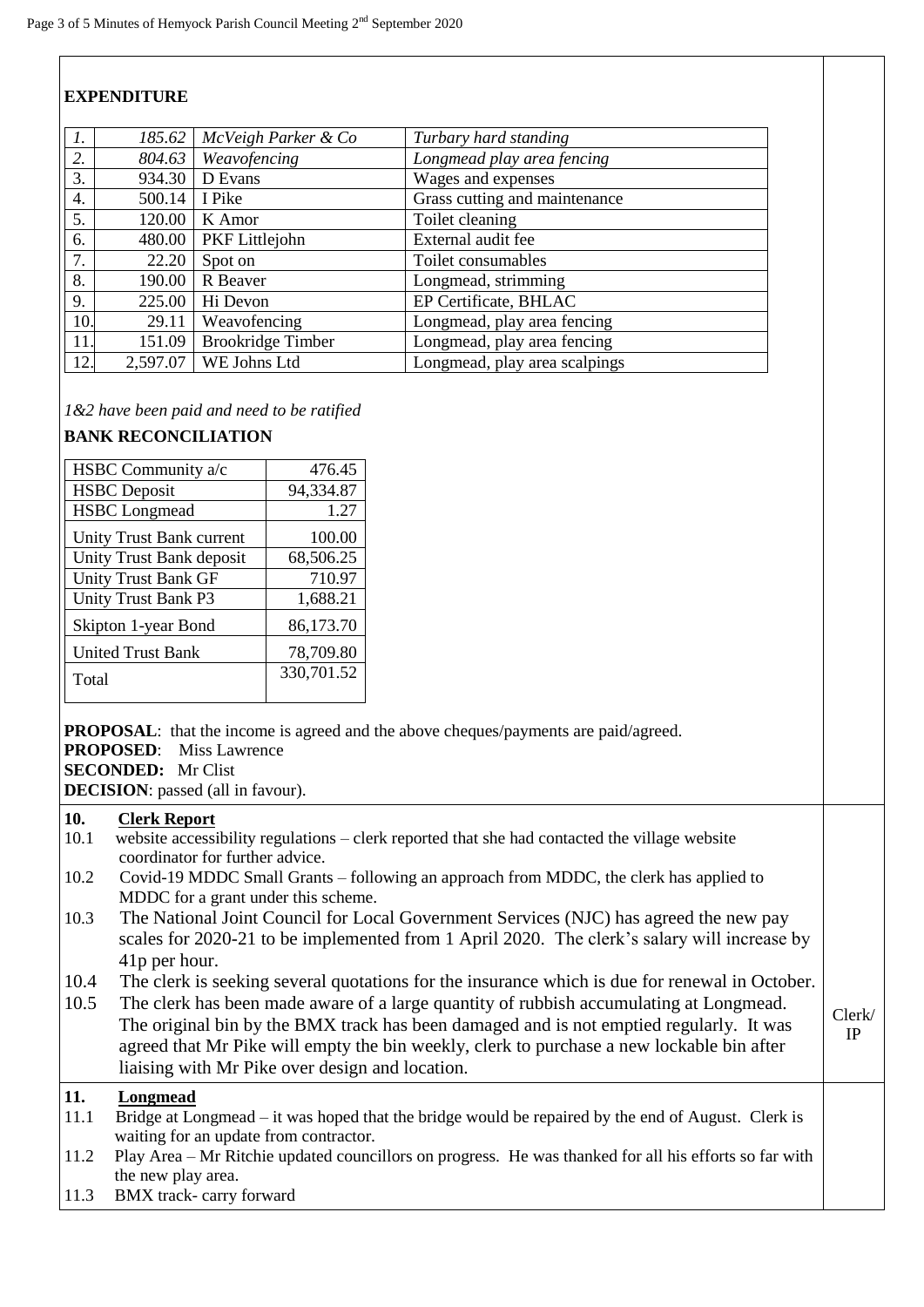# **EXPENDITURE**

| $\mathcal{I}$ . | 185.62   | McVeigh Parker & Co      | Turbary hard standing         |
|-----------------|----------|--------------------------|-------------------------------|
| 2.              | 804.63   | Weavofencing             | Longmead play area fencing    |
| 3.              | 934.30   | D Evans                  | Wages and expenses            |
| 4.              | 500.14   | I Pike                   | Grass cutting and maintenance |
| 5.              | 120.00   | K Amor                   | Toilet cleaning               |
| 6.              | 480.00   | PKF Littlejohn           | External audit fee            |
| 7.              | 22.20    | Spot on                  | Toilet consumables            |
| 8.              | 190.00   | R Beaver                 | Longmead, strimming           |
| 9.              | 225.00   | Hi Devon                 | EP Certificate, BHLAC         |
| 10.             | 29.11    | Weavofencing             | Longmead, play area fencing   |
| 11.             | 151.09   | <b>Brookridge Timber</b> | Longmead, play area fencing   |
| 12.             | 2,597.07 | WE Johns Ltd             | Longmead, play area scalpings |

*1&2 have been paid and need to be ratified*

### **BANK RECONCILIATION**

| HSBC Community a/c         | 476.45     |
|----------------------------|------------|
| <b>HSBC</b> Deposit        | 94,334.87  |
| <b>HSBC</b> Longmead       | 1.27       |
| Unity Trust Bank current   | 100.00     |
| Unity Trust Bank deposit   | 68,506.25  |
| <b>Unity Trust Bank GF</b> | 710.97     |
| Unity Trust Bank P3        | 1,688.21   |
| Skipton 1-year Bond        | 86,173.70  |
| <b>United Trust Bank</b>   | 78,709.80  |
| Total                      | 330,701.52 |

**PROPOSAL:** that the income is agreed and the above cheques/payments are paid/agreed. **PROPOSED**: Miss Lawrence **SECONDED:** Mr Clist

**DECISION**: passed (all in favour).

### **10. Clerk Report**

- 10.1 website accessibility regulations clerk reported that she had contacted the village website coordinator for further advice.
- 10.2 Covid-19 MDDC Small Grants following an approach from MDDC, the clerk has applied to MDDC for a grant under this scheme.
- 10.3 The National Joint Council for Local Government Services (NJC) has agreed the new pay scales for 2020-21 to be implemented from 1 April 2020. The clerk's salary will increase by 41p per hour.
- 10.4 The clerk is seeking several quotations for the insurance which is due for renewal in October.
- 10.5 The clerk has been made aware of a large quantity of rubbish accumulating at Longmead. The original bin by the BMX track has been damaged and is not emptied regularly. It was agreed that Mr Pike will empty the bin weekly, clerk to purchase a new lockable bin after liaising with Mr Pike over design and location. Clerk/ IP

## **11. Longmead**

- 11.1 Bridge at Longmead it was hoped that the bridge would be repaired by the end of August. Clerk is waiting for an update from contractor.
- 11.2 Play Area Mr Ritchie updated councillors on progress. He was thanked for all his efforts so far with the new play area.
- 11.3 BMX track- carry forward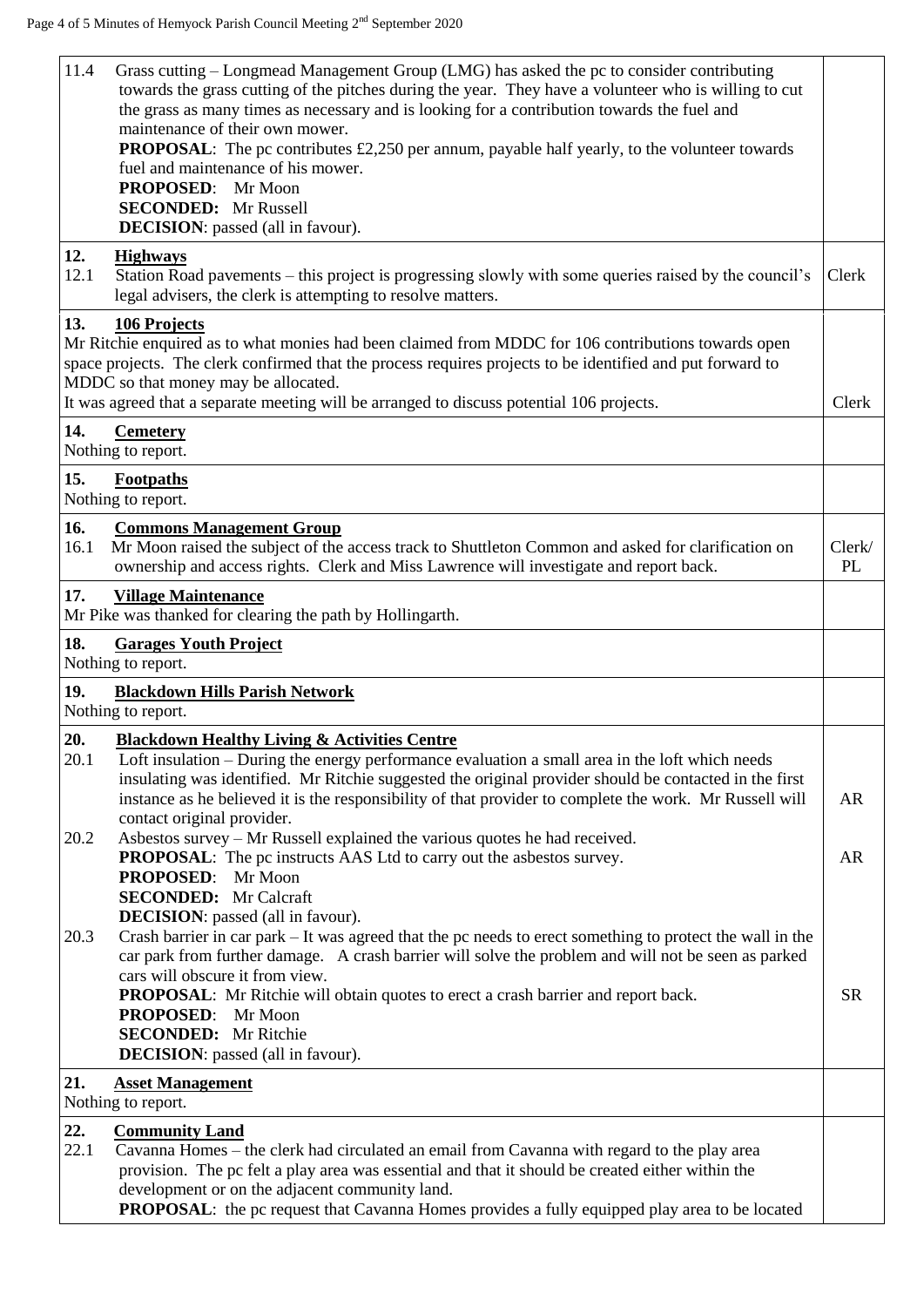| 11.4<br>Grass cutting – Longmead Management Group (LMG) has asked the pc to consider contributing<br>towards the grass cutting of the pitches during the year. They have a volunteer who is willing to cut<br>the grass as many times as necessary and is looking for a contribution towards the fuel and<br>maintenance of their own mower.                                         |                     |
|--------------------------------------------------------------------------------------------------------------------------------------------------------------------------------------------------------------------------------------------------------------------------------------------------------------------------------------------------------------------------------------|---------------------|
| <b>PROPOSAL:</b> The pc contributes £2,250 per annum, payable half yearly, to the volunteer towards<br>fuel and maintenance of his mower.<br>PROPOSED: Mr Moon<br><b>SECONDED:</b> Mr Russell                                                                                                                                                                                        |                     |
| <b>DECISION</b> : passed (all in favour).                                                                                                                                                                                                                                                                                                                                            |                     |
| 12.<br><b>Highways</b><br>12.1<br>Station Road pavements – this project is progressing slowly with some queries raised by the council's<br>legal advisers, the clerk is attempting to resolve matters.                                                                                                                                                                               | Clerk               |
| 13.<br><b>106 Projects</b><br>Mr Ritchie enquired as to what monies had been claimed from MDDC for 106 contributions towards open<br>space projects. The clerk confirmed that the process requires projects to be identified and put forward to<br>MDDC so that money may be allocated.<br>It was agreed that a separate meeting will be arranged to discuss potential 106 projects. | Clerk               |
| 14.<br><b>Cemetery</b><br>Nothing to report.                                                                                                                                                                                                                                                                                                                                         |                     |
| 15.<br><b>Footpaths</b><br>Nothing to report.                                                                                                                                                                                                                                                                                                                                        |                     |
| 16.<br><b>Commons Management Group</b><br>Mr Moon raised the subject of the access track to Shuttleton Common and asked for clarification on<br>16.1<br>ownership and access rights. Clerk and Miss Lawrence will investigate and report back.                                                                                                                                       | Clerk/<br><b>PL</b> |
| 17.<br><b>Village Maintenance</b><br>Mr Pike was thanked for clearing the path by Hollingarth.                                                                                                                                                                                                                                                                                       |                     |
| 18.<br><b>Garages Youth Project</b><br>Nothing to report.                                                                                                                                                                                                                                                                                                                            |                     |
| 19.<br><b>Blackdown Hills Parish Network</b><br>Nothing to report.                                                                                                                                                                                                                                                                                                                   |                     |
| 20.<br><b>Blackdown Healthy Living &amp; Activities Centre</b>                                                                                                                                                                                                                                                                                                                       |                     |
| Loft insulation - During the energy performance evaluation a small area in the loft which needs<br>20.1<br>insulating was identified. Mr Ritchie suggested the original provider should be contacted in the first<br>instance as he believed it is the responsibility of that provider to complete the work. Mr Russell will                                                         | <b>AR</b>           |
| contact original provider.<br>Asbestos survey - Mr Russell explained the various quotes he had received.<br>20.2                                                                                                                                                                                                                                                                     |                     |
| <b>PROPOSAL:</b> The pc instructs AAS Ltd to carry out the asbestos survey.<br>PROPOSED: Mr Moon                                                                                                                                                                                                                                                                                     | <b>AR</b>           |
| <b>SECONDED:</b> Mr Calcraft<br><b>DECISION</b> : passed (all in favour).                                                                                                                                                                                                                                                                                                            |                     |
| Crash barrier in car park – It was agreed that the pc needs to erect something to protect the wall in the<br>20.3<br>car park from further damage. A crash barrier will solve the problem and will not be seen as parked<br>cars will obscure it from view.                                                                                                                          |                     |
| <b>PROPOSAL:</b> Mr Ritchie will obtain quotes to erect a crash barrier and report back.<br><b>PROPOSED:</b> Mr Moon                                                                                                                                                                                                                                                                 | <b>SR</b>           |
| <b>SECONDED:</b> Mr Ritchie<br><b>DECISION:</b> passed (all in favour).                                                                                                                                                                                                                                                                                                              |                     |
| 21.<br><b>Asset Management</b><br>Nothing to report.                                                                                                                                                                                                                                                                                                                                 |                     |
| 22.<br><b>Community Land</b>                                                                                                                                                                                                                                                                                                                                                         |                     |
| 22.1<br>Cavanna Homes – the clerk had circulated an email from Cavanna with regard to the play area<br>provision. The pc felt a play area was essential and that it should be created either within the<br>development or on the adjacent community land.                                                                                                                            |                     |
| <b>PROPOSAL:</b> the pc request that Cavanna Homes provides a fully equipped play area to be located                                                                                                                                                                                                                                                                                 |                     |